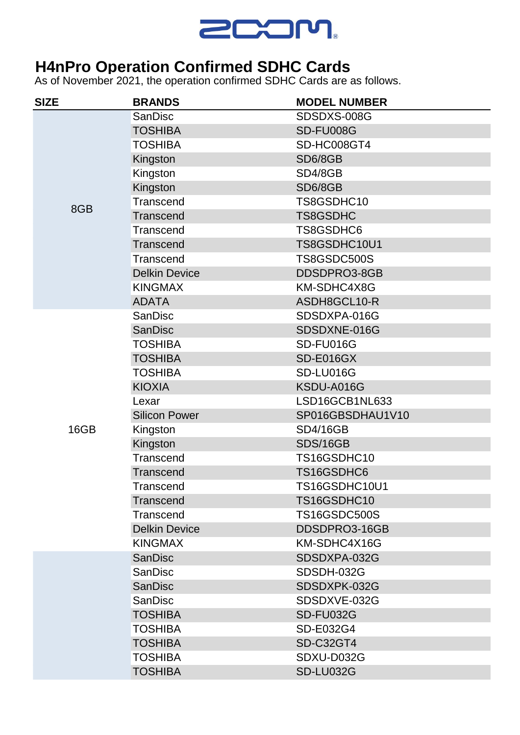

## **H4nPro Operation Confirmed SDHC Cards**

As of November 2021, the operation confirmed SDHC Cards are as follows.

| <b>SIZE</b> | <b>BRANDS</b>        | <b>MODEL NUMBER</b> |
|-------------|----------------------|---------------------|
| 8GB         | <b>SanDisc</b>       | SDSDXS-008G         |
|             | <b>TOSHIBA</b>       | SD-FU008G           |
|             | <b>TOSHIBA</b>       | SD-HC008GT4         |
|             | Kingston             | SD6/8GB             |
|             | Kingston             | SD4/8GB             |
|             | Kingston             | SD6/8GB             |
|             | Transcend            | TS8GSDHC10          |
|             | Transcend            | <b>TS8GSDHC</b>     |
|             | Transcend            | TS8GSDHC6           |
|             | Transcend            | TS8GSDHC10U1        |
|             | Transcend            | TS8GSDC500S         |
|             | <b>Delkin Device</b> | DDSDPRO3-8GB        |
|             | <b>KINGMAX</b>       | KM-SDHC4X8G         |
|             | <b>ADATA</b>         | ASDH8GCL10-R        |
| 16GB        | <b>SanDisc</b>       | SDSDXPA-016G        |
|             | <b>SanDisc</b>       | SDSDXNE-016G        |
|             | <b>TOSHIBA</b>       | SD-FU016G           |
|             | <b>TOSHIBA</b>       | SD-E016GX           |
|             | <b>TOSHIBA</b>       | SD-LU016G           |
|             | <b>KIOXIA</b>        | KSDU-A016G          |
|             | Lexar                | LSD16GCB1NL633      |
|             | <b>Silicon Power</b> | SP016GBSDHAU1V10    |
|             | Kingston             | <b>SD4/16GB</b>     |
|             | Kingston             | <b>SDS/16GB</b>     |
|             | Transcend            | TS16GSDHC10         |
|             | <b>Transcend</b>     | TS16GSDHC6          |
|             | Transcend            | TS16GSDHC10U1       |
|             | <b>Transcend</b>     | TS16GSDHC10         |
|             | Transcend            | <b>TS16GSDC500S</b> |
|             | <b>Delkin Device</b> | DDSDPRO3-16GB       |
|             | <b>KINGMAX</b>       | KM-SDHC4X16G        |
|             | <b>SanDisc</b>       | SDSDXPA-032G        |
|             | <b>SanDisc</b>       | SDSDH-032G          |
|             | <b>SanDisc</b>       | SDSDXPK-032G        |
|             | <b>SanDisc</b>       | SDSDXVE-032G        |
|             | <b>TOSHIBA</b>       | <b>SD-FU032G</b>    |
|             | <b>TOSHIBA</b>       | SD-E032G4           |
|             | <b>TOSHIBA</b>       | <b>SD-C32GT4</b>    |
|             | <b>TOSHIBA</b>       | SDXU-D032G          |
|             | <b>TOSHIBA</b>       | <b>SD-LU032G</b>    |